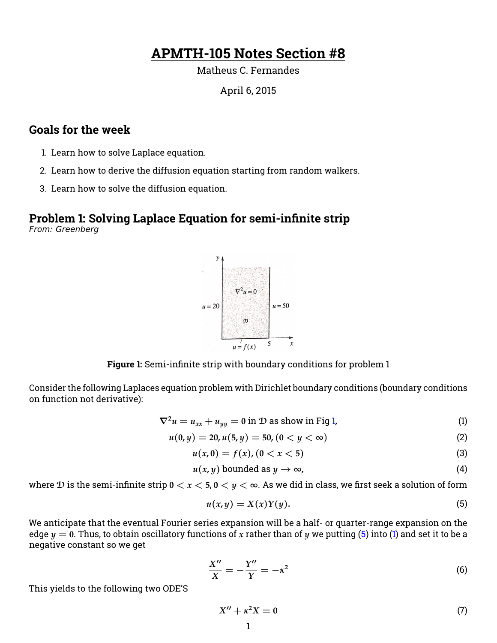# **APMTH-105 Notes Section #8**

Matheus C. Fernandes

April 6, 2015

### **Goals for the week**

- 1. Learn how to solve Laplace equation.
- 2. Learn how to derive the diffusion equation starting from random walkers.
- 3. Learn how to solve the diffusion equation.

## **Problem 1: Solving Laplace Equation for semi-infinite strip**

<span id="page-0-0"></span>From: Greenberg



**Figure 1:** Semi-infinite strip with boundary conditions for problem 1

Consider the following Laplaces equation problem with Dirichlet boundary conditions (boundary conditions on function not derivative):

<span id="page-0-2"></span>
$$
\nabla^2 u = u_{xx} + u_{yy} = 0 \text{ in } \mathcal{D} \text{ as show in Fig 1,}
$$
 (1)

$$
u(0, y) = 20, u(5, y) = 50, (0 < y < \infty)
$$
\n<sup>(2)</sup>

$$
u(x,0) = f(x), (0 < x < 5)
$$
 (3)

$$
u(x, y) \text{ bounded as } y \to \infty,
$$
 (4)

where  $D$  is the semi-infinite strip  $0 < x < 5$ ,  $0 < y < \infty$ . As we did in class, we first seek a solution of form

<span id="page-0-1"></span>
$$
u(x,y) = X(x)Y(y). \tag{5}
$$

We anticipate that the eventual Fourier series expansion will be a half- or quarter-range expansion on the edge  $y = 0$ . Thus, to obtain oscillatory functions of x rather than of y we putting [\(5\)](#page-0-1) into [\(1\)](#page-0-2) and set it to be a negative constant so we get

$$
\frac{X''}{X} = -\frac{Y''}{Y} = -\kappa^2\tag{6}
$$

This yields to the following two ODE'S

$$
X'' + \kappa^2 X = 0 \tag{7}
$$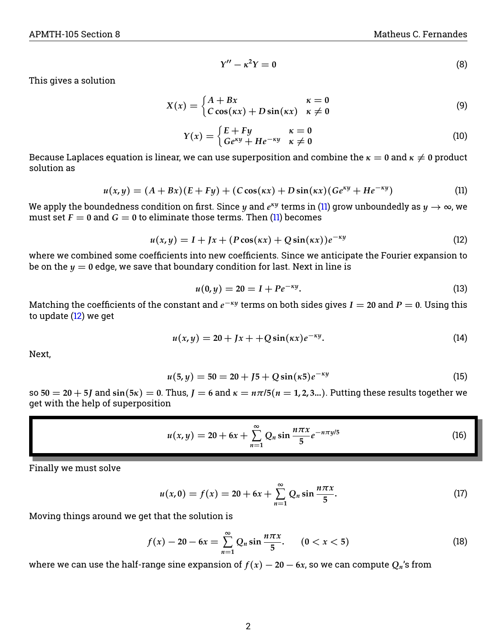$$
Y'' - \kappa^2 Y = 0 \tag{8}
$$

This gives a solution

$$
X(x) = \begin{cases} A + Bx & \kappa = 0 \\ C \cos(\kappa x) + D \sin(\kappa x) & \kappa \neq 0 \end{cases}
$$
 (9)

$$
Y(x) = \begin{cases} E + Fy & \kappa = 0\\ Ge^{\kappa y} + He^{-\kappa y} & \kappa \neq 0 \end{cases}
$$
 (10)

Because Laplaces equation is linear, we can use superposition and combine the  $\kappa = 0$  and  $\kappa \neq 0$  product solution as

<span id="page-1-0"></span>
$$
u(x,y) = (A+Bx)(E+Fy) + (C\cos(\kappa x) + D\sin(\kappa x)(Ge^{\kappa y} + He^{-\kappa y})
$$
 (11)

We apply the boundedness condition on first. Since  $y$  and  $e^{\kappa y}$  terms in [\(11\)](#page-1-0) grow unboundedly as  $y\to\infty$ , we must set  $F = 0$  and  $G = 0$  to eliminate those terms. Then [\(11\)](#page-1-0) becomes

<span id="page-1-1"></span>
$$
u(x,y) = I + Jx + (P\cos(\kappa x) + Q\sin(\kappa x))e^{-\kappa y}
$$
\n(12)

where we combined some coefficients into new coefficients. Since we anticipate the Fourier expansion to be on the  $y = 0$  edge, we save that boundary condition for last. Next in line is

$$
u(0, y) = 20 = I + Pe^{-\kappa y}.
$$
 (13)

Matching the coefficients of the constant and  $e^{-\kappa y}$  terms on both sides gives  $I=$  20 and  $P=$  0. Using this to update [\(12\)](#page-1-1) we get

$$
u(x,y) = 20 + Jx + 4Q\sin(\kappa x)e^{-\kappa y}.
$$
 (14)

Next,

$$
u(5, y) = 50 = 20 + J5 + Q\sin(\kappa 5)e^{-\kappa y}
$$
\n(15)

 $\text{so } 50 = 20 + 5$ *J* and  $\sin(5\kappa) = 0$ . Thus,  $J = 6$  and  $\kappa = n\pi/5$  ( $n = 1, 2, 3...$ ). Putting these results together we get with the help of superposition

<span id="page-1-2"></span>
$$
u(x,y) = 20 + 6x + \sum_{n=1}^{\infty} Q_n \sin \frac{n\pi x}{5} e^{-n\pi y/5}
$$
 (16)

Finally we must solve

$$
u(x,0) = f(x) = 20 + 6x + \sum_{n=1}^{\infty} Q_n \sin \frac{n \pi x}{5}.
$$
 (17)

Moving things around we get that the solution is

$$
f(x) - 20 - 6x = \sum_{n=1}^{\infty} Q_n \sin \frac{n \pi x}{5}.
$$
 (0 < x < 5) (18)

where we can use the half-range sine expansion of  $f(x) - 20 - 6x$ , so we can compute  $Q_n$ 's from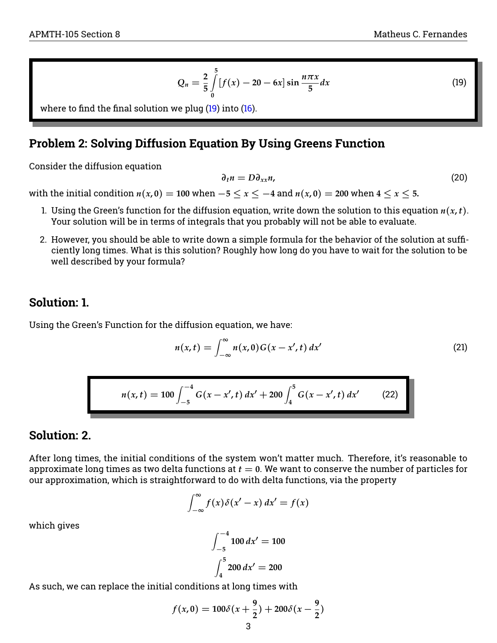<span id="page-2-0"></span>
$$
Q_n = \frac{2}{5} \int_{0}^{5} [f(x) - 20 - 6x] \sin \frac{n \pi x}{5} dx
$$

where to find the final solution we plug  $(19)$  into  $(16)$ .

#### **Problem 2: Solving Diffusion Equation By Using Greens Function**

Consider the diffusion equation

$$
\partial_t n = D \partial_{xx} n, \tag{20}
$$

with the initial condition  $n(x, 0) = 100$  when  $-5 \le x \le -4$  and  $n(x, 0) = 200$  when  $4 \le x \le 5$ .

- 1. Using the Green's function for the diffusion equation, write down the solution to this equation  $n(x, t)$ . Your solution will be in terms of integrals that you probably will not be able to evaluate.
- 2. However, you should be able to write down a simple formula for the behavior of the solution at sufficiently long times. What is this solution? Roughly how long do you have to wait for the solution to be well described by your formula?

#### **Solution: 1.**

Using the Green's Function for the diffusion equation, we have:

<span id="page-2-1"></span>
$$
n(x,t) = \int_{-\infty}^{\infty} n(x,0)G(x - x',t) dx'
$$
 (21)

$$
n(x,t) = 100 \int_{-5}^{-4} G(x - x', t) dx' + 200 \int_{4}^{5} G(x - x', t) dx'
$$
 (22)

#### **Solution: 2.**

After long times, the initial conditions of the system won't matter much. Therefore, it's reasonable to approximate long times as two delta functions at  $t = 0$ . We want to conserve the number of particles for our approximation, which is straightforward to do with delta functions, via the property

$$
\int_{-\infty}^{\infty} f(x)\delta(x'-x) dx' = f(x)
$$

which gives

$$
\int_{-5}^{-4} 100 \, dx' = 100
$$

$$
\int_{4}^{5} 200 \, dx' = 200
$$

As such, we can replace the initial conditions at long times with

$$
f(x,0) = 100\delta(x+\frac{9}{2}) + 200\delta(x-\frac{9}{2})
$$

 $dx$  (19)